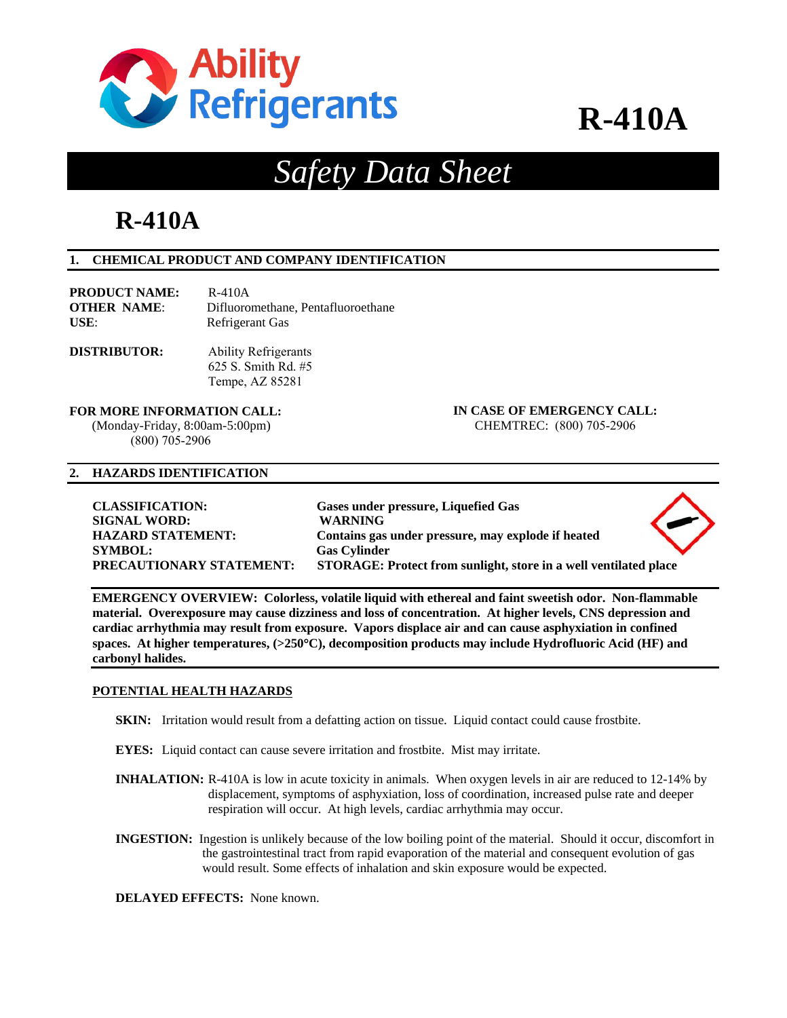

## *Safety Data Sheet*

## **R-410A**

#### **1. CHEMICAL PRODUCT AND COMPANY IDENTIFICATION**

| <b>PRODUCT NAME:</b> | R-410A                             |
|----------------------|------------------------------------|
| <b>OTHER NAME:</b>   | Difluoromethane. Pentafluoroethane |
| USE:                 | Refrigerant Gas                    |

**DISTRIBUTOR:**  Ability Refrigerants 625 S. Smith Rd. #5 Tempe, AZ 85281

(Monday-Friday, 8:00am-5:00pm) CHEMTREC: (800) 705-2906 (800) 705-2906

**FOR MORE INFORMATION CALL: IN CASE OF EMERGENCY CALL:** 

#### **2. HAZARDS IDENTIFICATION**

| <b>CLASSIFICATION:</b>          | Gases under pressure, Liquefied Gas                              |  |
|---------------------------------|------------------------------------------------------------------|--|
| <b>SIGNAL WORD:</b>             | <b>WARNING</b>                                                   |  |
| <b>HAZARD STATEMENT:</b>        | Contains gas under pressure, may explode if heated               |  |
| <b>SYMBOL:</b>                  | <b>Gas Cylinder</b>                                              |  |
| <b>PRECAUTIONARY STATEMENT:</b> | STORAGE: Protect from sunlight, store in a well ventilated place |  |

**EMERGENCY OVERVIEW: Colorless, volatile liquid with ethereal and faint sweetish odor. Non-flammable material. Overexposure may cause dizziness and loss of concentration. At higher levels, CNS depression and cardiac arrhythmia may result from exposure. Vapors displace air and can cause asphyxiation in confined spaces. At higher temperatures, (>250C), decomposition products may include Hydrofluoric Acid (HF) and carbonyl halides.** 

#### **POTENTIAL HEALTH HAZARDS**

- **SKIN:** Irritation would result from a defatting action on tissue. Liquid contact could cause frostbite.
- **EYES:** Liquid contact can cause severe irritation and frostbite. Mist may irritate.
- **INHALATION:** R-410A is low in acute toxicity in animals. When oxygen levels in air are reduced to 12-14% by displacement, symptoms of asphyxiation, loss of coordination, increased pulse rate and deeper respiration will occur. At high levels, cardiac arrhythmia may occur.
- **INGESTION:** Ingestion is unlikely because of the low boiling point of the material. Should it occur, discomfort in the gastrointestinal tract from rapid evaporation of the material and consequent evolution of gas would result. Some effects of inhalation and skin exposure would be expected.

**DELAYED EFFECTS:** None known.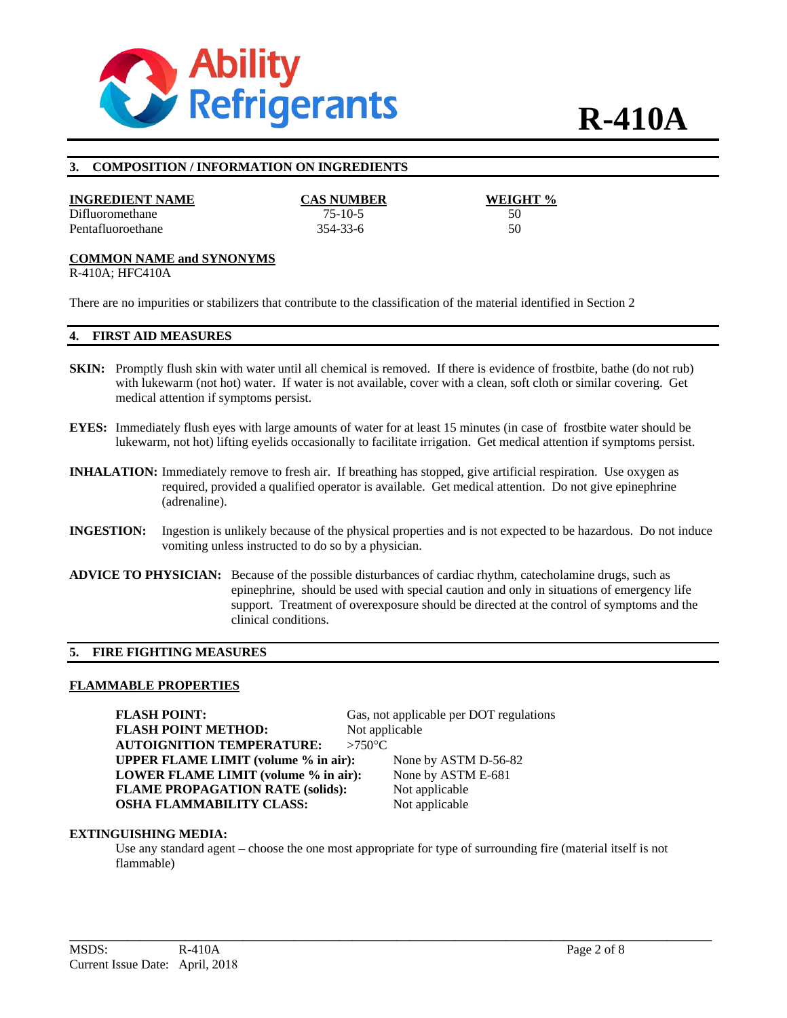

#### **3. COMPOSITION / INFORMATION ON INGREDIENTS**

#### **INGREDIENT NAME CAS NUMBER WEIGHT %**

Difluoromethane 75-10-5 50 Pentafluoroethane 354-33-6 50

#### **COMMON NAME and SYNONYMS**

R-410A; HFC410A

There are no impurities or stabilizers that contribute to the classification of the material identified in Section 2

#### **4. FIRST AID MEASURES**

- **SKIN:** Promptly flush skin with water until all chemical is removed. If there is evidence of frostbite, bathe (do not rub) with lukewarm (not hot) water. If water is not available, cover with a clean, soft cloth or similar covering. Get medical attention if symptoms persist.
- **EYES:** Immediately flush eyes with large amounts of water for at least 15 minutes (in case of frostbite water should be lukewarm, not hot) lifting eyelids occasionally to facilitate irrigation. Get medical attention if symptoms persist.
- **INHALATION:** Immediately remove to fresh air. If breathing has stopped, give artificial respiration. Use oxygen as required, provided a qualified operator is available. Get medical attention. Do not give epinephrine (adrenaline).
- **INGESTION:** Ingestion is unlikely because of the physical properties and is not expected to be hazardous. Do not induce vomiting unless instructed to do so by a physician.
- **ADVICE TO PHYSICIAN:** Because of the possible disturbances of cardiac rhythm, catecholamine drugs, such as epinephrine, should be used with special caution and only in situations of emergency life support. Treatment of overexposure should be directed at the control of symptoms and the clinical conditions.

#### **5. FIRE FIGHTING MEASURES**

#### **FLAMMABLE PROPERTIES**

**FLASH POINT:** Gas, not applicable per DOT regulations **FLASH POINT METHOD:** Not applicable **AUTOIGNITION TEMPERATURE: >750°C UPPER FLAME LIMIT (volume % in air):** None by ASTM D-56-82 **LOWER FLAME LIMIT (volume % in air):** None by ASTM E-681 **FLAME PROPAGATION RATE (solids):** Not applicable **OSHA FLAMMABILITY CLASS:** Not applicable

#### **EXTINGUISHING MEDIA:**

Use any standard agent – choose the one most appropriate for type of surrounding fire (material itself is not flammable)

**\_\_\_\_\_\_\_\_\_\_\_\_\_\_\_\_\_\_\_\_\_\_\_\_\_\_\_\_\_\_\_\_\_\_\_\_\_\_\_\_\_\_\_\_\_\_\_\_\_\_\_\_\_\_\_\_\_\_\_\_\_\_\_\_\_\_\_\_\_\_\_\_\_\_\_\_\_\_\_\_\_\_\_\_\_\_\_\_\_\_\_\_\_\_\_\_\_\_\_\_**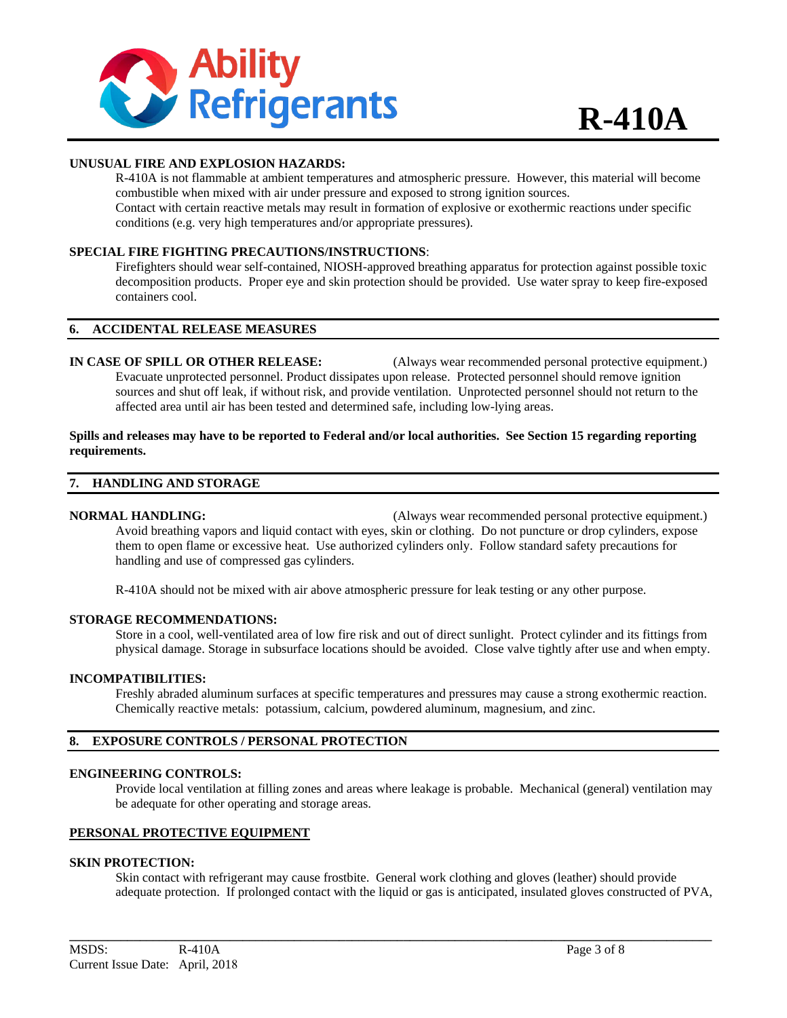

#### **UNUSUAL FIRE AND EXPLOSION HAZARDS:**

R-410A is not flammable at ambient temperatures and atmospheric pressure. However, this material will become combustible when mixed with air under pressure and exposed to strong ignition sources. Contact with certain reactive metals may result in formation of explosive or exothermic reactions under specific conditions (e.g. very high temperatures and/or appropriate pressures).

#### **SPECIAL FIRE FIGHTING PRECAUTIONS/INSTRUCTIONS**:

Firefighters should wear self-contained, NIOSH-approved breathing apparatus for protection against possible toxic decomposition products. Proper eye and skin protection should be provided. Use water spray to keep fire-exposed containers cool.

#### **6. ACCIDENTAL RELEASE MEASURES**

**IN CASE OF SPILL OR OTHER RELEASE:** (Always wear recommended personal protective equipment.) Evacuate unprotected personnel. Product dissipates upon release. Protected personnel should remove ignition sources and shut off leak, if without risk, and provide ventilation. Unprotected personnel should not return to the affected area until air has been tested and determined safe, including low-lying areas.

#### **Spills and releases may have to be reported to Federal and/or local authorities. See Section 15 regarding reporting requirements.**

#### **7. HANDLING AND STORAGE**

#### **NORMAL HANDLING:** (Always wear recommended personal protective equipment.) Avoid breathing vapors and liquid contact with eyes, skin or clothing. Do not puncture or drop cylinders, expose them to open flame or excessive heat. Use authorized cylinders only. Follow standard safety precautions for handling and use of compressed gas cylinders.

R-410A should not be mixed with air above atmospheric pressure for leak testing or any other purpose.

#### **STORAGE RECOMMENDATIONS:**

Store in a cool, well-ventilated area of low fire risk and out of direct sunlight. Protect cylinder and its fittings from physical damage. Storage in subsurface locations should be avoided. Close valve tightly after use and when empty.

#### **INCOMPATIBILITIES:**

Freshly abraded aluminum surfaces at specific temperatures and pressures may cause a strong exothermic reaction. Chemically reactive metals: potassium, calcium, powdered aluminum, magnesium, and zinc.

#### **8. EXPOSURE CONTROLS / PERSONAL PROTECTION**

#### **ENGINEERING CONTROLS:**

Provide local ventilation at filling zones and areas where leakage is probable. Mechanical (general) ventilation may be adequate for other operating and storage areas.

#### **PERSONAL PROTECTIVE EQUIPMENT**

#### **SKIN PROTECTION:**

Skin contact with refrigerant may cause frostbite. General work clothing and gloves (leather) should provide adequate protection. If prolonged contact with the liquid or gas is anticipated, insulated gloves constructed of PVA,

**\_\_\_\_\_\_\_\_\_\_\_\_\_\_\_\_\_\_\_\_\_\_\_\_\_\_\_\_\_\_\_\_\_\_\_\_\_\_\_\_\_\_\_\_\_\_\_\_\_\_\_\_\_\_\_\_\_\_\_\_\_\_\_\_\_\_\_\_\_\_\_\_\_\_\_\_\_\_\_\_\_\_\_\_\_\_\_\_\_\_\_\_\_\_\_\_\_\_\_\_**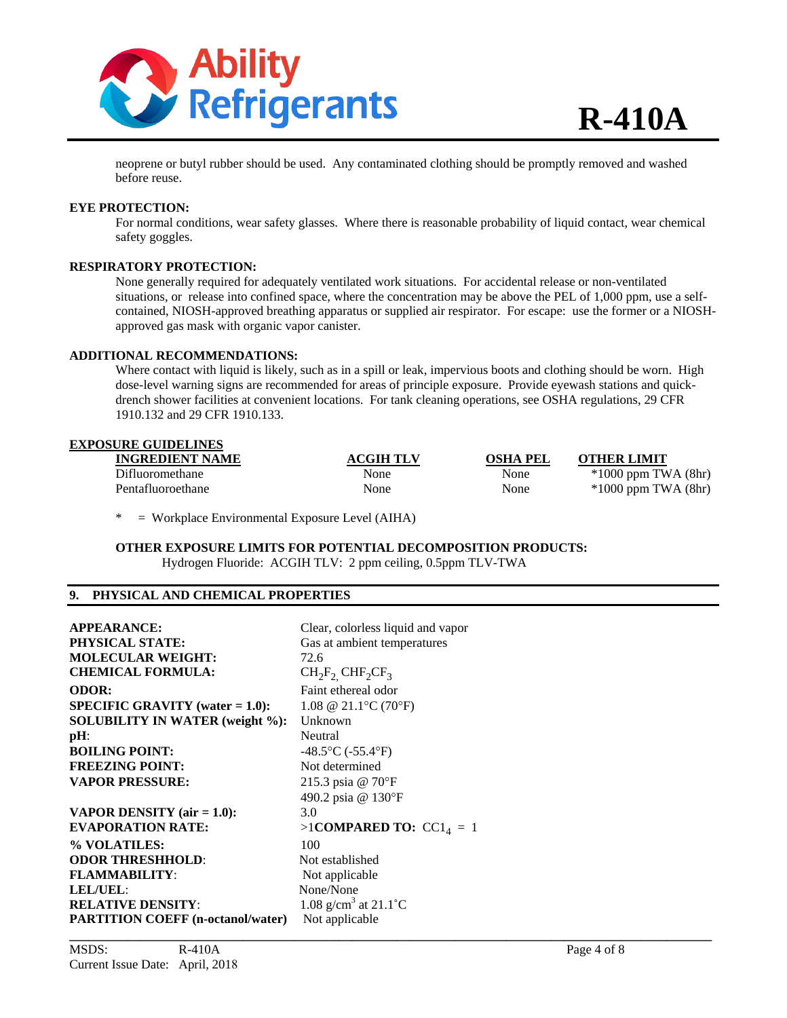

neoprene or butyl rubber should be used. Any contaminated clothing should be promptly removed and washed before reuse.

#### **EYE PROTECTION:**

For normal conditions, wear safety glasses. Where there is reasonable probability of liquid contact, wear chemical safety goggles.

#### **RESPIRATORY PROTECTION:**

None generally required for adequately ventilated work situations. For accidental release or non-ventilated situations, or release into confined space, where the concentration may be above the PEL of 1,000 ppm, use a selfcontained, NIOSH-approved breathing apparatus or supplied air respirator. For escape: use the former or a NIOSHapproved gas mask with organic vapor canister.

#### **ADDITIONAL RECOMMENDATIONS:**

Where contact with liquid is likely, such as in a spill or leak, impervious boots and clothing should be worn. High dose-level warning signs are recommended for areas of principle exposure. Provide eyewash stations and quickdrench shower facilities at convenient locations. For tank cleaning operations, see OSHA regulations, 29 CFR 1910.132 and 29 CFR 1910.133.

#### **EXPOSURE GUIDELINES**

| <b>INGREDIENT NAME</b> | <b>ACGIH TLV</b> | <b>OSHA PEL</b> | <b>OTHER LIMIT</b>      |
|------------------------|------------------|-----------------|-------------------------|
| Difluoromethane        | None             | None            | $*1000$ ppm TWA $(8hr)$ |
| Pentafluoroethane      | None             | None            | $*1000$ ppm TWA $(8hr)$ |

\* = Workplace Environmental Exposure Level (AIHA)

**OTHER EXPOSURE LIMITS FOR POTENTIAL DECOMPOSITION PRODUCTS:**  Hydrogen Fluoride: ACGIH TLV: 2 ppm ceiling, 0.5ppm TLV-TWA

#### **9. PHYSICAL AND CHEMICAL PROPERTIES**

| <b>APPEARANCE:</b>                        | Clear, colorless liquid and vapor          |
|-------------------------------------------|--------------------------------------------|
| <b>PHYSICAL STATE:</b>                    | Gas at ambient temperatures                |
| <b>MOLECULAR WEIGHT:</b>                  | 72.6                                       |
| <b>CHEMICAL FORMULA:</b>                  | $CH_2F_2$ CHF <sub>2</sub> CF <sub>3</sub> |
| <b>ODOR:</b>                              | Faint ethereal odor                        |
| <b>SPECIFIC GRAVITY</b> (water $= 1.0$ ): | 1.08 @ 21.1 °C (70 °F)                     |
| <b>SOLUBILITY IN WATER (weight %):</b>    | Unknown                                    |
| $pH$ :                                    | Neutral                                    |
| <b>BOILING POINT:</b>                     | $-48.5$ °C ( $-55.4$ °F)                   |
| <b>FREEZING POINT:</b>                    | Not determined                             |
| <b>VAPOR PRESSURE:</b>                    | 215.3 psia @ 70°F                          |
|                                           | 490.2 psia @ 130°F                         |
| <b>VAPOR DENSITY</b> (air $= 1.0$ ):      | 3.0                                        |
| <b>EVAPORATION RATE:</b>                  | >1COMPARED TO: $CC14 = 1$                  |
| % VOLATILES:                              | 100                                        |
| <b>ODOR THRESHHOLD:</b>                   | Not established                            |
| <b>FLAMMABILITY:</b>                      | Not applicable                             |
| LEL/UEL:                                  | None/None                                  |
| <b>RELATIVE DENSITY:</b>                  | 1.08 g/cm <sup>3</sup> at 21.1 °C          |
| <b>PARTITION COEFF (n-octanol/water)</b>  | Not applicable                             |
|                                           |                                            |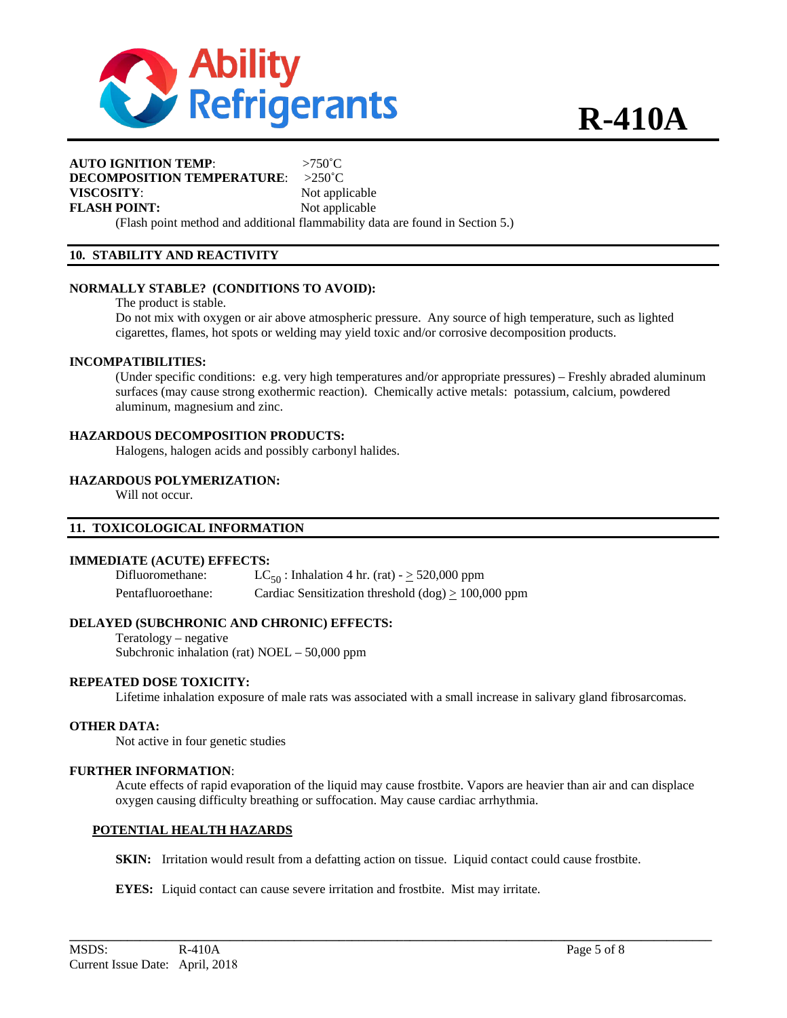

#### **AUTO IGNITION TEMP**: >750˚C **DECOMPOSITION TEMPERATURE**: >250˚C **VISCOSITY:** Not applicable **FLASH POINT:** Not applicable

(Flash point method and additional flammability data are found in Section 5.)

#### **10. STABILITY AND REACTIVITY**

#### **NORMALLY STABLE? (CONDITIONS TO AVOID):**

The product is stable.

Do not mix with oxygen or air above atmospheric pressure. Any source of high temperature, such as lighted cigarettes, flames, hot spots or welding may yield toxic and/or corrosive decomposition products.

#### **INCOMPATIBILITIES:**

(Under specific conditions: e.g. very high temperatures and/or appropriate pressures) – Freshly abraded aluminum surfaces (may cause strong exothermic reaction). Chemically active metals: potassium, calcium, powdered aluminum, magnesium and zinc.

#### **HAZARDOUS DECOMPOSITION PRODUCTS:**

Halogens, halogen acids and possibly carbonyl halides.

#### **HAZARDOUS POLYMERIZATION:**

Will not occur.

#### **11. TOXICOLOGICAL INFORMATION**

#### **IMMEDIATE (ACUTE) EFFECTS:**

Difluoromethane:  $LC_{50}$ : Inhalation 4 hr. (rat) -  $\geq$  520,000 ppm Pentafluoroethane: Cardiac Sensitization threshold  $(dog) \ge 100,000$  ppm

#### **DELAYED (SUBCHRONIC AND CHRONIC) EFFECTS:**

Teratology – negative Subchronic inhalation (rat) NOEL – 50,000 ppm

#### **REPEATED DOSE TOXICITY:**

Lifetime inhalation exposure of male rats was associated with a small increase in salivary gland fibrosarcomas.

#### **OTHER DATA:**

Not active in four genetic studies

#### **FURTHER INFORMATION**:

Acute effects of rapid evaporation of the liquid may cause frostbite. Vapors are heavier than air and can displace oxygen causing difficulty breathing or suffocation. May cause cardiac arrhythmia.

#### **POTENTIAL HEALTH HAZARDS**

**SKIN:** Irritation would result from a defatting action on tissue. Liquid contact could cause frostbite.

**\_\_\_\_\_\_\_\_\_\_\_\_\_\_\_\_\_\_\_\_\_\_\_\_\_\_\_\_\_\_\_\_\_\_\_\_\_\_\_\_\_\_\_\_\_\_\_\_\_\_\_\_\_\_\_\_\_\_\_\_\_\_\_\_\_\_\_\_\_\_\_\_\_\_\_\_\_\_\_\_\_\_\_\_\_\_\_\_\_\_\_\_\_\_\_\_\_\_\_\_** 

**EYES:** Liquid contact can cause severe irritation and frostbite. Mist may irritate.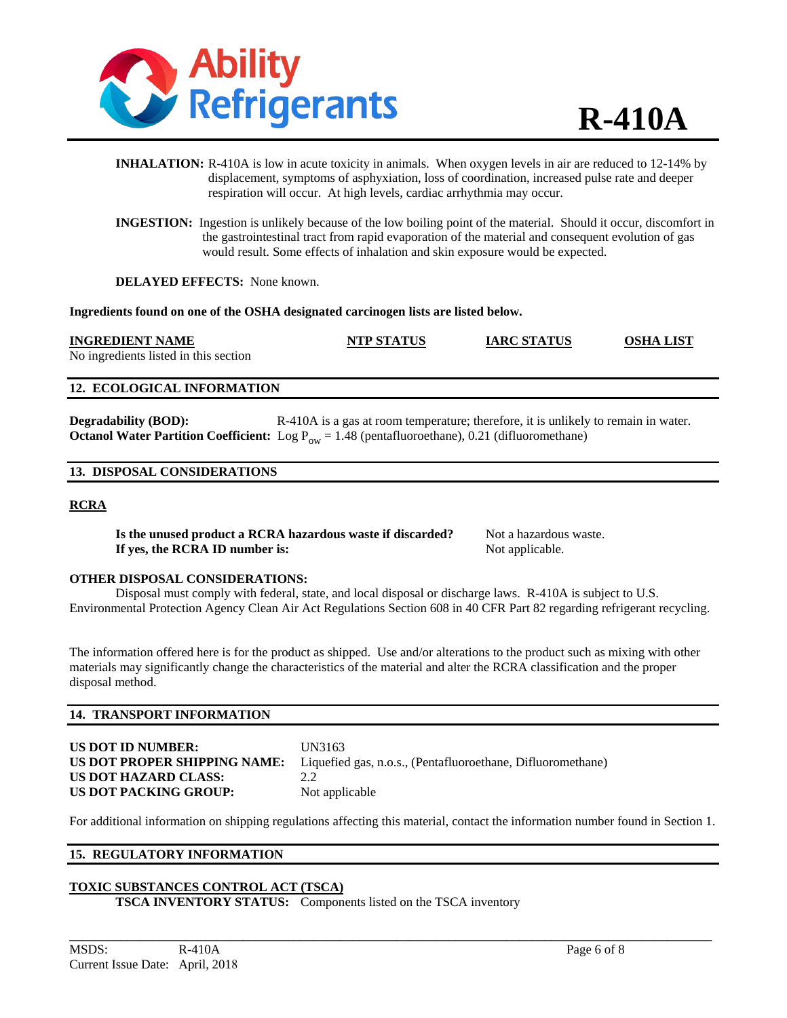

- **INHALATION:** R-410A is low in acute toxicity in animals. When oxygen levels in air are reduced to 12-14% by displacement, symptoms of asphyxiation, loss of coordination, increased pulse rate and deeper respiration will occur. At high levels, cardiac arrhythmia may occur.
- **INGESTION:** Ingestion is unlikely because of the low boiling point of the material. Should it occur, discomfort in the gastrointestinal tract from rapid evaporation of the material and consequent evolution of gas would result. Some effects of inhalation and skin exposure would be expected.

**DELAYED EFFECTS:** None known.

**Ingredients found on one of the OSHA designated carcinogen lists are listed below.** 

#### **INGREDIENT NAME NTP STATUS IARC STATUS OSHA LIST**

No ingredients listed in this section

#### **12. ECOLOGICAL INFORMATION**

**Degradability (BOD):** R-410A is a gas at room temperature; therefore, it is unlikely to remain in water. **Octanol Water Partition Coefficient:** Log  $P_{ow} = 1.48$  (pentafluoroethane), 0.21 (difluoromethane)

#### **13. DISPOSAL CONSIDERATIONS**

#### **RCRA**

**Is the unused product a RCRA hazardous waste if discarded?** Not a hazardous waste. **If yes, the RCRA ID number is:** Not applicable.

#### **OTHER DISPOSAL CONSIDERATIONS:**

Disposal must comply with federal, state, and local disposal or discharge laws. R-410A is subject to U.S. Environmental Protection Agency Clean Air Act Regulations Section 608 in 40 CFR Part 82 regarding refrigerant recycling.

The information offered here is for the product as shipped. Use and/or alterations to the product such as mixing with other materials may significantly change the characteristics of the material and alter the RCRA classification and the proper disposal method.

#### **14. TRANSPORT INFORMATION**

| US DOT ID NUMBER:            | UN  |
|------------------------------|-----|
| US DOT PROPER SHIPPING NAME: | Lig |
| US DOT HAZARD CLASS:         | 2.2 |
| US DOT PACKING GROUP:        | Not |

**US DOT ID NUMBER:** UN3163 Liquefied gas, n.o.s., (Pentafluoroethane, Difluoromethane) Not applicable

For additional information on shipping regulations affecting this material, contact the information number found in Section 1.

**\_\_\_\_\_\_\_\_\_\_\_\_\_\_\_\_\_\_\_\_\_\_\_\_\_\_\_\_\_\_\_\_\_\_\_\_\_\_\_\_\_\_\_\_\_\_\_\_\_\_\_\_\_\_\_\_\_\_\_\_\_\_\_\_\_\_\_\_\_\_\_\_\_\_\_\_\_\_\_\_\_\_\_\_\_\_\_\_\_\_\_\_\_\_\_\_\_\_\_\_** 

### **15. REGULATORY INFORMATION**

### **TOXIC SUBSTANCES CONTROL ACT (TSCA)**

**TSCA INVENTORY STATUS:** Components listed on the TSCA inventory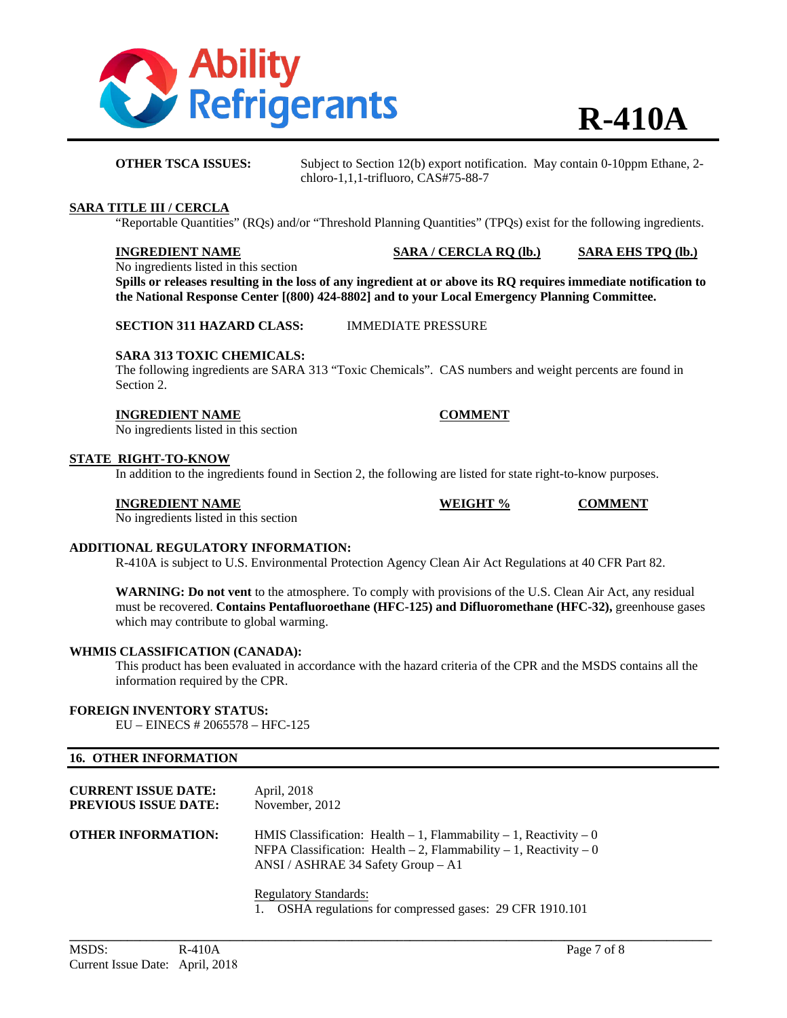

**OTHER TSCA ISSUES:** Subject to Section 12(b) export notification. May contain 0-10ppm Ethane, 2chloro-1,1,1-trifluoro, CAS#75-88-7

#### **SARA TITLE III / CERCLA**

"Reportable Quantities" (RQs) and/or "Threshold Planning Quantities" (TPQs) exist for the following ingredients.

**INGREDIENT NAME SARA / CERCLA RQ (lb.) SARA EHS TPQ (lb.)**

No ingredients listed in this section

**Spills or releases resulting in the loss of any ingredient at or above its RQ requires immediate notification to the National Response Center [(800) 424-8802] and to your Local Emergency Planning Committee.** 

**SECTION 311 HAZARD CLASS:** IMMEDIATE PRESSURE

#### **SARA 313 TOXIC CHEMICALS:**

The following ingredients are SARA 313 "Toxic Chemicals". CAS numbers and weight percents are found in Section 2.

#### **INGREDIENT NAME COMMENT**

No ingredients listed in this section

#### **STATE RIGHT-TO-KNOW**

In addition to the ingredients found in Section 2, the following are listed for state right-to-know purposes.

#### **INGREDIENT NAME WEIGHT % COMMENT**

No ingredients listed in this section

### **ADDITIONAL REGULATORY INFORMATION:**

R-410A is subject to U.S. Environmental Protection Agency Clean Air Act Regulations at 40 CFR Part 82.

**WARNING: Do not vent** to the atmosphere. To comply with provisions of the U.S. Clean Air Act, any residual must be recovered. **Contains Pentafluoroethane (HFC-125) and Difluoromethane (HFC-32),** greenhouse gases which may contribute to global warming.

#### **WHMIS CLASSIFICATION (CANADA):**

This product has been evaluated in accordance with the hazard criteria of the CPR and the MSDS contains all the information required by the CPR.

#### **FOREIGN INVENTORY STATUS:**

EU – EINECS # 2065578 – HFC-125

#### **16. OTHER INFORMATION**

| <b>CURRENT ISSUE DATE:</b><br>PREVIOUS ISSUE DATE: | April, 2018<br>November, 2012                                                                                                                                                            |
|----------------------------------------------------|------------------------------------------------------------------------------------------------------------------------------------------------------------------------------------------|
| <b>OTHER INFORMATION:</b>                          | HMIS Classification: Health $-1$ , Flammability $-1$ , Reactivity $-0$<br>NFPA Classification: Health $-2$ , Flammability $-1$ , Reactivity $-0$<br>ANSI / ASHRAE 34 Safety Group $-$ A1 |
|                                                    | <b>Regulatory Standards:</b><br>$\sim$ $\sim$ $\sim$ $\sim$ $\sim$ $\sim$<br>20.777.4040.404                                                                                             |

1. OSHA regulations for compressed gases: 29 CFR 1910.101

**\_\_\_\_\_\_\_\_\_\_\_\_\_\_\_\_\_\_\_\_\_\_\_\_\_\_\_\_\_\_\_\_\_\_\_\_\_\_\_\_\_\_\_\_\_\_\_\_\_\_\_\_\_\_\_\_\_\_\_\_\_\_\_\_\_\_\_\_\_\_\_\_\_\_\_\_\_\_\_\_\_\_\_\_\_\_\_\_\_\_\_\_\_\_\_\_\_\_\_\_**